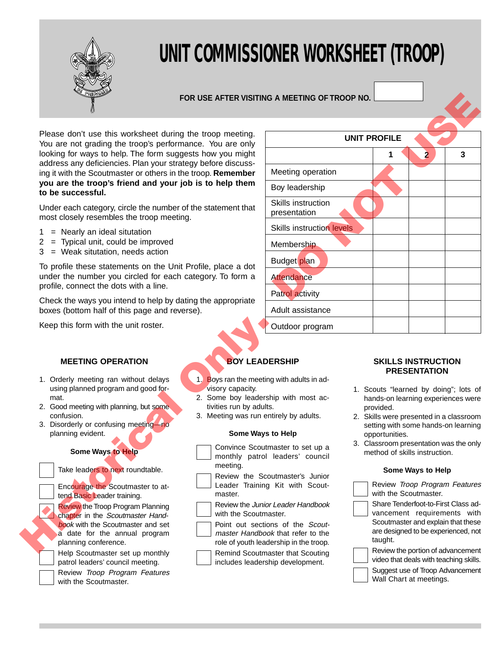

# **UNIT COMMISSIONER WORKSHEET (TROOP)**

## **FOR USE AFTER VISITING A MEETING OF TROOP NO.**

- $1 =$  Nearly an ideal situtation
- 2 = Typical unit, could be improved
- 3 = Weak situtation, needs action

# **MEETING OPERATION**

- 1. Orderly meeting ran without delays using planned program and good format.
- 2. Good meeting with planning, but some confusion.
- 3. Disorderly or confusing meeting—no planning evident.

# **Some Ways to Help**

Help Scoutmaster set up monthly patrol leaders' council meeting.

Review Troop Program Features with the Scoutmaster.

|  | <b>BOY LEADERSHIP</b> |  |  |
|--|-----------------------|--|--|
|  |                       |  |  |
|  |                       |  |  |

- 1. Boys ran the meeting with adults in advisory capacity.
- 2. Some boy leadership with most activities run by adults.
- 3. Meeting was run entirely by adults.

## **Some Ways to Help**

- Convince Scoutmaster to set up a monthly patrol leaders' council meeting.
- Review the Scoutmaster's Junior Leader Training Kit with Scout-
- master. Review the Junior Leader Handbook
- with the Scoutmaster.
	- Point out sections of the Scoutmaster Handbook that refer to the role of youth leadership in the troop.
- Remind Scoutmaster that Scouting includes leadership development.

| <u>PREPAS</u>                                                                                                                  | FOR USE AFTER VISITING A MEETING OF TROOP NO. |                                                                                                                                         |                                                        |                                                                                      |                         |   |  |
|--------------------------------------------------------------------------------------------------------------------------------|-----------------------------------------------|-----------------------------------------------------------------------------------------------------------------------------------------|--------------------------------------------------------|--------------------------------------------------------------------------------------|-------------------------|---|--|
| Please don't use this worksheet during the troop meeting.<br>You are not grading the troop's performance. You are only         |                                               | <b>UNIT PROFILE</b>                                                                                                                     |                                                        |                                                                                      |                         |   |  |
| looking for ways to help. The form suggests how you might                                                                      |                                               |                                                                                                                                         |                                                        | 1                                                                                    | $\overline{\mathbf{2}}$ | 3 |  |
| address any deficiencies. Plan your strategy before discuss-<br>ing it with the Scoutmaster or others in the troop. Remember   |                                               | Meeting operation                                                                                                                       |                                                        |                                                                                      |                         |   |  |
| you are the troop's friend and your job is to help them<br>to be successful.                                                   |                                               | Boy leadership                                                                                                                          |                                                        |                                                                                      |                         |   |  |
| Under each category, circle the number of the statement that<br>most closely resembles the troop meeting.                      |                                               | Skills instruction<br>presentation                                                                                                      |                                                        |                                                                                      |                         |   |  |
| $=$ Nearly an ideal situtation<br>1                                                                                            |                                               | <b>Skills instruction levels</b>                                                                                                        |                                                        |                                                                                      |                         |   |  |
| = Typical unit, could be improved<br>2<br>= Weak situtation, needs action<br>3                                                 |                                               | Membership                                                                                                                              |                                                        |                                                                                      |                         |   |  |
| To profile these statements on the Unit Profile, place a dot                                                                   |                                               | Budget plan                                                                                                                             |                                                        |                                                                                      |                         |   |  |
| under the number you circled for each category. To form a<br>profile, connect the dots with a line.                            |                                               | <b>Attendance</b>                                                                                                                       |                                                        |                                                                                      |                         |   |  |
| Check the ways you intend to help by dating the appropriate<br>boxes (bottom half of this page and reverse).                   |                                               | Patrol activity<br>Adult assistance                                                                                                     |                                                        |                                                                                      |                         |   |  |
| Keep this form with the unit roster.                                                                                           |                                               | Outdoor program                                                                                                                         |                                                        |                                                                                      |                         |   |  |
| <b>MEETING OPERATION</b>                                                                                                       |                                               | <b>BOY LEADERSHIP</b>                                                                                                                   |                                                        | <b>SKILLS INSTRUCTION</b>                                                            |                         |   |  |
| 1. Orderly meeting ran without delays                                                                                          | 1.                                            | Boys ran the meeting with adults in ad-                                                                                                 |                                                        |                                                                                      | <b>PRESENTATION</b>     |   |  |
| using planned program and good for-                                                                                            | visory capacity.                              |                                                                                                                                         |                                                        | 1. Scouts "learned by doing"; lots of                                                |                         |   |  |
| mat.<br>2. Good meeting with planning, but some                                                                                | tivities run by adults.                       | 2. Some boy leadership with most ac-                                                                                                    |                                                        | hands-on learning experiences were<br>provided.                                      |                         |   |  |
| confusion.<br>3. Disorderly or confusing meeting-no                                                                            | 3. Meeting was run entirely by adults.        |                                                                                                                                         |                                                        | 2. Skills were presented in a classroom                                              |                         |   |  |
| planning evident.                                                                                                              |                                               | Some Ways to Help<br>Convince Scoutmaster to set up a<br>monthly patrol leaders' council<br>meeting.<br>Review the Scoutmaster's Junior |                                                        | setting with some hands-on learning<br>opportunities.                                |                         |   |  |
| Some Ways to Help                                                                                                              |                                               |                                                                                                                                         |                                                        | 3. Classroom presentation was the only<br>method of skills instruction.              |                         |   |  |
| Take leaders to next roundtable.                                                                                               |                                               |                                                                                                                                         |                                                        | Some Ways to Help                                                                    |                         |   |  |
| Encourage the Scoutmaster to at-<br>tend Basic Leader training.                                                                | Leader Training Kit with Scout-<br>master.    |                                                                                                                                         | Review Troop Program Features<br>with the Scoutmaster. |                                                                                      |                         |   |  |
| <b>Review the Troop Program Planning</b><br>with the Scoutmaster.                                                              |                                               | Share Tenderfoot-to-First Class ad-<br>Review the Junior Leader Handbook<br>vancement requirements with                                 |                                                        |                                                                                      |                         |   |  |
| chapter in the Scoutmaster Hand-<br>book with the Scoutmaster and set<br>a date for the annual program<br>planning conference. |                                               | Point out sections of the Scout-<br>master Handbook that refer to the<br>role of youth leadership in the troop.                         |                                                        | Scoutmaster and explain that these<br>are designed to be experienced, not<br>taught. |                         |   |  |
| Haln Scoutmaster set un monthly                                                                                                | Remind Scoutmester that Scouting              | Review the portion of advancement                                                                                                       |                                                        |                                                                                      |                         |   |  |

## **SKILLS INSTRUCTION PRESENTATION**

- 1. Scouts "learned by doing"; lots of hands-on learning experiences were provided.
- 2. Skills were presented in a classroom setting with some hands-on learning opportunities.
- 3. Classroom presentation was the only method of skills instruction.

## **Some Ways to Help**